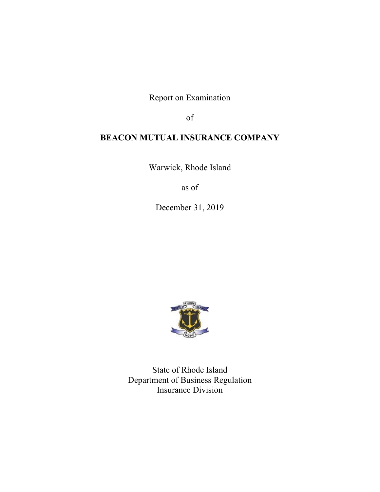Report on Examination

of

# **BEACON MUTUAL INSURANCE COMPANY**

Warwick, Rhode Island

as of

December 31, 2019



State of Rhode Island Department of Business Regulation Insurance Division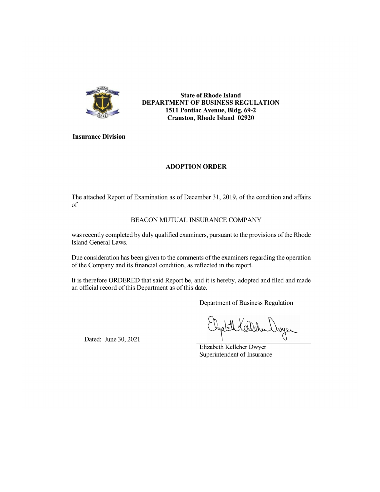

**State of Rhode Island** DEPARTMENT OF BUSINESS REGULATION 1511 Pontiac Avenue, Bldg. 69-2 **Cranston, Rhode Island 02920** 

**Insurance Division** 

# **ADOPTION ORDER**

The attached Report of Examination as of December 31, 2019, of the condition and affairs of

# BEACON MUTUAL INSURANCE COMPANY

was recently completed by duly qualified examiners, pursuant to the provisions of the Rhode Island General Laws.

Due consideration has been given to the comments of the examiners regarding the operation of the Company and its financial condition, as reflected in the report.

It is therefore ORDERED that said Report be, and it is hereby, adopted and filed and made an official record of this Department as of this date.

Department of Business Regulation

Dayer

Dated: June 30, 2021

Elizabeth Kelleher Dwyer Superintendent of Insurance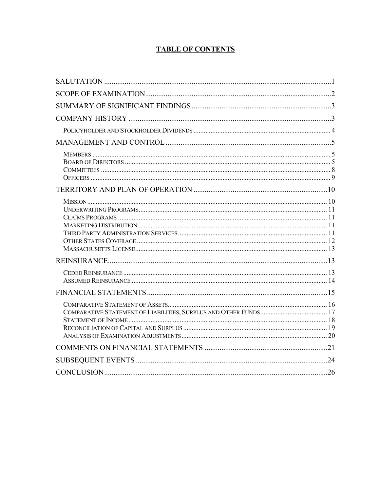# **TABLE OF CONTENTS**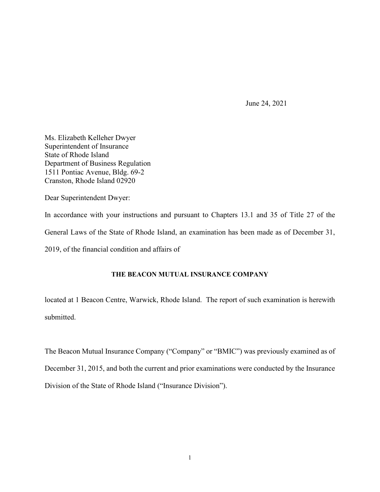June 24, 2021

Ms. Elizabeth Kelleher Dwyer Superintendent of Insurance State of Rhode Island Department of Business Regulation 1511 Pontiac Avenue, Bldg. 69-2 Cranston, Rhode Island 02920

Dear Superintendent Dwyer:

In accordance with your instructions and pursuant to Chapters 13.1 and 35 of Title 27 of the General Laws of the State of Rhode Island, an examination has been made as of December 31, 2019, of the financial condition and affairs of

# **THE BEACON MUTUAL INSURANCE COMPANY**

located at 1 Beacon Centre, Warwick, Rhode Island. The report of such examination is herewith submitted.

The Beacon Mutual Insurance Company ("Company" or "BMIC") was previously examined as of December 31, 2015, and both the current and prior examinations were conducted by the Insurance Division of the State of Rhode Island ("Insurance Division").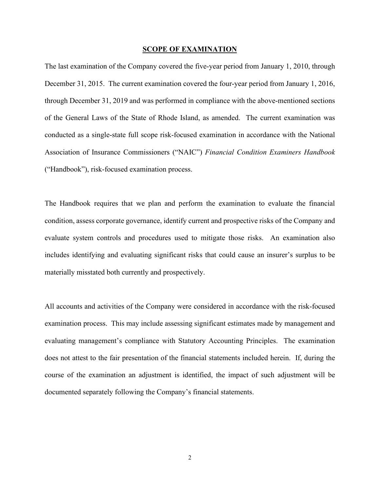#### **SCOPE OF EXAMINATION**

The last examination of the Company covered the five-year period from January 1, 2010, through December 31, 2015. The current examination covered the four-year period from January 1, 2016, through December 31, 2019 and was performed in compliance with the above-mentioned sections of the General Laws of the State of Rhode Island, as amended. The current examination was conducted as a single-state full scope risk-focused examination in accordance with the National Association of Insurance Commissioners ("NAIC") *Financial Condition Examiners Handbook* ("Handbook"), risk-focused examination process.

The Handbook requires that we plan and perform the examination to evaluate the financial condition, assess corporate governance, identify current and prospective risks of the Company and evaluate system controls and procedures used to mitigate those risks. An examination also includes identifying and evaluating significant risks that could cause an insurer's surplus to be materially misstated both currently and prospectively.

All accounts and activities of the Company were considered in accordance with the risk-focused examination process. This may include assessing significant estimates made by management and evaluating management's compliance with Statutory Accounting Principles. The examination does not attest to the fair presentation of the financial statements included herein. If, during the course of the examination an adjustment is identified, the impact of such adjustment will be documented separately following the Company's financial statements.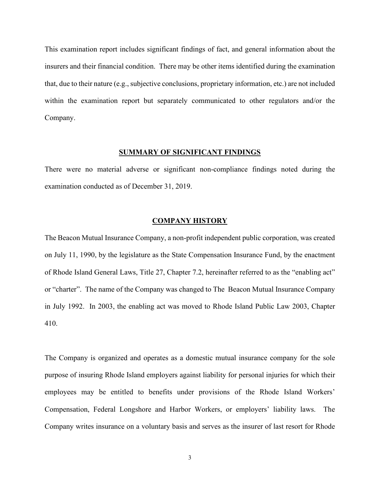This examination report includes significant findings of fact, and general information about the insurers and their financial condition. There may be other items identified during the examination that, due to their nature (e.g., subjective conclusions, proprietary information, etc.) are not included within the examination report but separately communicated to other regulators and/or the Company.

### **SUMMARY OF SIGNIFICANT FINDINGS**

There were no material adverse or significant non-compliance findings noted during the examination conducted as of December 31, 2019.

### **COMPANY HISTORY**

The Beacon Mutual Insurance Company, a non-profit independent public corporation, was created on July 11, 1990, by the legislature as the State Compensation Insurance Fund, by the enactment of Rhode Island General Laws, Title 27, Chapter 7.2, hereinafter referred to as the "enabling act" or "charter". The name of the Company was changed to The Beacon Mutual Insurance Company in July 1992. In 2003, the enabling act was moved to Rhode Island Public Law 2003, Chapter 410.

The Company is organized and operates as a domestic mutual insurance company for the sole purpose of insuring Rhode Island employers against liability for personal injuries for which their employees may be entitled to benefits under provisions of the Rhode Island Workers' Compensation, Federal Longshore and Harbor Workers, or employers' liability laws. The Company writes insurance on a voluntary basis and serves as the insurer of last resort for Rhode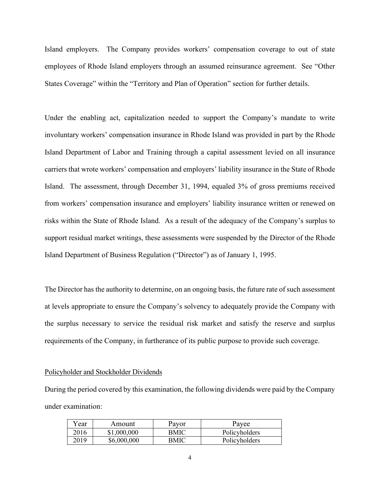Island employers. The Company provides workers' compensation coverage to out of state employees of Rhode Island employers through an assumed reinsurance agreement. See "Other States Coverage" within the "Territory and Plan of Operation" section for further details.

Under the enabling act, capitalization needed to support the Company's mandate to write involuntary workers' compensation insurance in Rhode Island was provided in part by the Rhode Island Department of Labor and Training through a capital assessment levied on all insurance carriers that wrote workers' compensation and employers' liability insurance in the State of Rhode Island. The assessment, through December 31, 1994, equaled 3% of gross premiums received from workers' compensation insurance and employers' liability insurance written or renewed on risks within the State of Rhode Island. As a result of the adequacy of the Company's surplus to support residual market writings, these assessments were suspended by the Director of the Rhode Island Department of Business Regulation ("Director") as of January 1, 1995.

The Director has the authority to determine, on an ongoing basis, the future rate of such assessment at levels appropriate to ensure the Company's solvency to adequately provide the Company with the surplus necessary to service the residual risk market and satisfy the reserve and surplus requirements of the Company, in furtherance of its public purpose to provide such coverage.

#### Policyholder and Stockholder Dividends

During the period covered by this examination, the following dividends were paid by the Company under examination:

| $v_{\text{ear}}$ | Amount      | Payor | Payee         |
|------------------|-------------|-------|---------------|
| 2016             | \$1,000,000 | BMIC  | Policyholders |
| 2019             | \$6,000,000 | BMIC  | Policyholders |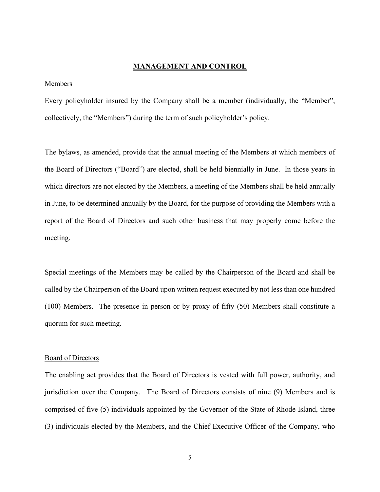## **MANAGEMENT AND CONTROL**

#### Members

Every policyholder insured by the Company shall be a member (individually, the "Member", collectively, the "Members") during the term of such policyholder's policy.

The bylaws, as amended, provide that the annual meeting of the Members at which members of the Board of Directors ("Board") are elected, shall be held biennially in June. In those years in which directors are not elected by the Members, a meeting of the Members shall be held annually in June, to be determined annually by the Board, for the purpose of providing the Members with a report of the Board of Directors and such other business that may properly come before the meeting.

Special meetings of the Members may be called by the Chairperson of the Board and shall be called by the Chairperson of the Board upon written request executed by not less than one hundred (100) Members. The presence in person or by proxy of fifty (50) Members shall constitute a quorum for such meeting.

#### Board of Directors

The enabling act provides that the Board of Directors is vested with full power, authority, and jurisdiction over the Company. The Board of Directors consists of nine (9) Members and is comprised of five (5) individuals appointed by the Governor of the State of Rhode Island, three (3) individuals elected by the Members, and the Chief Executive Officer of the Company, who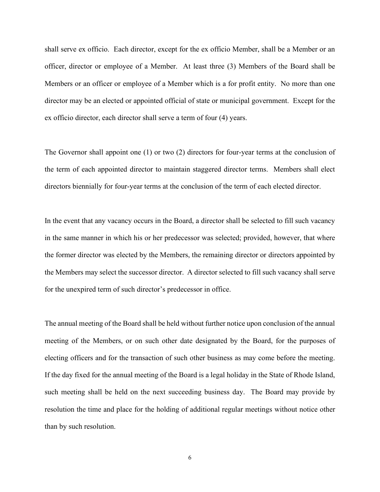shall serve ex officio. Each director, except for the ex officio Member, shall be a Member or an officer, director or employee of a Member. At least three (3) Members of the Board shall be Members or an officer or employee of a Member which is a for profit entity. No more than one director may be an elected or appointed official of state or municipal government. Except for the ex officio director, each director shall serve a term of four (4) years.

The Governor shall appoint one (1) or two (2) directors for four-year terms at the conclusion of the term of each appointed director to maintain staggered director terms. Members shall elect directors biennially for four-year terms at the conclusion of the term of each elected director.

In the event that any vacancy occurs in the Board, a director shall be selected to fill such vacancy in the same manner in which his or her predecessor was selected; provided, however, that where the former director was elected by the Members, the remaining director or directors appointed by the Members may select the successor director. A director selected to fill such vacancy shall serve for the unexpired term of such director's predecessor in office.

The annual meeting of the Board shall be held without further notice upon conclusion of the annual meeting of the Members, or on such other date designated by the Board, for the purposes of electing officers and for the transaction of such other business as may come before the meeting. If the day fixed for the annual meeting of the Board is a legal holiday in the State of Rhode Island, such meeting shall be held on the next succeeding business day. The Board may provide by resolution the time and place for the holding of additional regular meetings without notice other than by such resolution.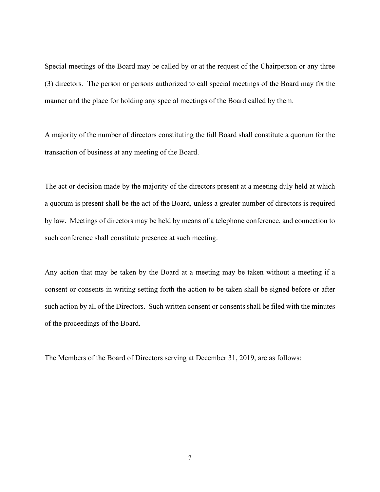Special meetings of the Board may be called by or at the request of the Chairperson or any three (3) directors. The person or persons authorized to call special meetings of the Board may fix the manner and the place for holding any special meetings of the Board called by them.

A majority of the number of directors constituting the full Board shall constitute a quorum for the transaction of business at any meeting of the Board.

The act or decision made by the majority of the directors present at a meeting duly held at which a quorum is present shall be the act of the Board, unless a greater number of directors is required by law. Meetings of directors may be held by means of a telephone conference, and connection to such conference shall constitute presence at such meeting.

Any action that may be taken by the Board at a meeting may be taken without a meeting if a consent or consents in writing setting forth the action to be taken shall be signed before or after such action by all of the Directors. Such written consent or consents shall be filed with the minutes of the proceedings of the Board.

The Members of the Board of Directors serving at December 31, 2019, are as follows: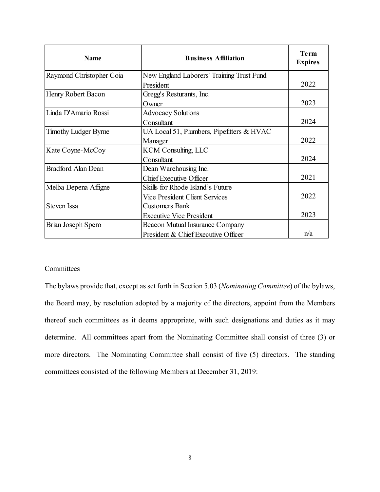| <b>Name</b>                 | <b>Business Affiliation</b>               | <b>Term</b><br><b>Expires</b> |
|-----------------------------|-------------------------------------------|-------------------------------|
| Raymond Christopher Coia    | New England Laborers' Training Trust Fund |                               |
|                             | President                                 | 2022                          |
| Henry Robert Bacon          | Gregg's Resturants, Inc.                  |                               |
|                             | Owner                                     | 2023                          |
| Linda D'Amario Rossi        | <b>Advocacy Solutions</b>                 |                               |
|                             | Consultant                                | 2024                          |
| <b>Timothy Ludger Byrne</b> | UA Local 51, Plumbers, Pipefitters & HVAC |                               |
|                             | Manager                                   | 2022                          |
| Kate Coyne-McCoy            | <b>KCM Consulting, LLC</b>                |                               |
|                             | Consultant                                | 2024                          |
| <b>Bradford Alan Dean</b>   | Dean Warehousing Inc.                     |                               |
|                             | <b>Chief Executive Officer</b>            | 2021                          |
| Melba Depena Affigne        | Skills for Rhode Island's Future          |                               |
|                             | Vice President Client Services            | 2022                          |
| <b>Steven Issa</b>          | <b>Customers Bank</b>                     |                               |
|                             | <b>Executive Vice President</b>           | 2023                          |
| Brian Joseph Spero          | Beacon Mutual Insurance Company           |                               |
|                             | President & Chief Executive Officer       | n/a                           |

### **Committees**

The bylaws provide that, except as set forth in Section 5.03 (*Nominating Committee*) of the bylaws, the Board may, by resolution adopted by a majority of the directors, appoint from the Members thereof such committees as it deems appropriate, with such designations and duties as it may determine. All committees apart from the Nominating Committee shall consist of three (3) or more directors. The Nominating Committee shall consist of five (5) directors. The standing committees consisted of the following Members at December 31, 2019: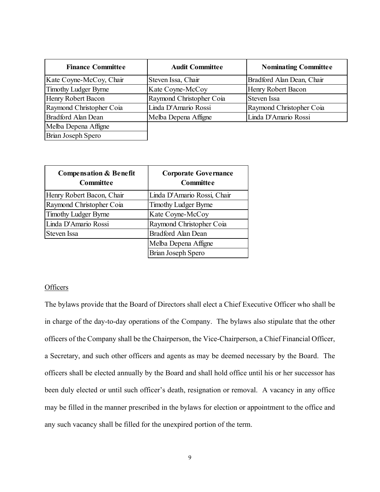| <b>Finance Committee</b>    | <b>Audit Committee</b>   | <b>Nominating Committee</b> |
|-----------------------------|--------------------------|-----------------------------|
| Kate Coyne-McCoy, Chair     | Steven Issa, Chair       | Bradford Alan Dean, Chair   |
| <b>Timothy Ludger Byrne</b> | Kate Coyne-McCoy         | Henry Robert Bacon          |
| Henry Robert Bacon          | Raymond Christopher Coia | Steven Issa                 |
| Raymond Christopher Coia    | Linda D'Amario Rossi     | Raymond Christopher Coia    |
| <b>Bradford Alan Dean</b>   | Melba Depena Affigne     | Linda D'Amario Rossi        |
| Melba Depena Affigne        |                          |                             |
| Brian Joseph Spero          |                          |                             |

| <b>Compensation &amp; Benefit</b><br>Committee | <b>Corporate Governance</b><br>Committee |
|------------------------------------------------|------------------------------------------|
| Henry Robert Bacon, Chair                      | Linda D'Amario Rossi, Chair              |
| Raymond Christopher Coia                       | <b>Timothy Ludger Byrne</b>              |
| <b>Timothy Ludger Byrne</b>                    | Kate Coyne-McCoy                         |
| Linda D'Amario Rossi                           | Raymond Christopher Coia                 |
| Steven Issa                                    | Bradford Alan Dean                       |
|                                                | Melba Depena Affigne                     |
|                                                | Brian Joseph Spero                       |

# **Officers**

The bylaws provide that the Board of Directors shall elect a Chief Executive Officer who shall be in charge of the day-to-day operations of the Company. The bylaws also stipulate that the other officers of the Company shall be the Chairperson, the Vice-Chairperson, a Chief Financial Officer, a Secretary, and such other officers and agents as may be deemed necessary by the Board. The officers shall be elected annually by the Board and shall hold office until his or her successor has been duly elected or until such officer's death, resignation or removal. A vacancy in any office may be filled in the manner prescribed in the bylaws for election or appointment to the office and any such vacancy shall be filled for the unexpired portion of the term.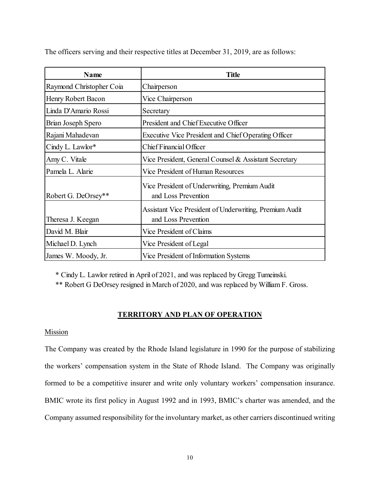| Name                     | <b>Title</b>                                                                   |  |
|--------------------------|--------------------------------------------------------------------------------|--|
| Raymond Christopher Coia | Chairperson                                                                    |  |
| Henry Robert Bacon       | Vice Chairperson                                                               |  |
| Linda D'Amario Rossi     | Secretary                                                                      |  |
| Brian Joseph Spero       | President and Chief Executive Officer                                          |  |
| Rajani Mahadevan         | Executive Vice President and Chief Operating Officer                           |  |
| Cindy L. Lawlor*         | Chief Financial Officer                                                        |  |
| Amy C. Vitale            | Vice President, General Counsel & Assistant Secretary                          |  |
| Pamela L. Alarie         | Vice President of Human Resources                                              |  |
| Robert G. DeOrsey**      | Vice President of Underwriting, Premium Audit<br>and Loss Prevention           |  |
| Theresa J. Keegan        | Assistant Vice President of Underwriting, Premium Audit<br>and Loss Prevention |  |
| David M. Blair           | Vice President of Claims                                                       |  |
| Michael D. Lynch         | Vice President of Legal                                                        |  |
| James W. Moody, Jr.      | Vice President of Information Systems                                          |  |

The officers serving and their respective titles at December 31, 2019, are as follows:

\* Cindy L. Lawlor retired in April of 2021, and was replaced by Gregg Tumeinski.

\*\* Robert G DeOrsey resigned in March of 2020, and was replaced by William F. Gross.

# **TERRITORY AND PLAN OF OPERATION**

# Mission

The Company was created by the Rhode Island legislature in 1990 for the purpose of stabilizing the workers' compensation system in the State of Rhode Island. The Company was originally formed to be a competitive insurer and write only voluntary workers' compensation insurance. BMIC wrote its first policy in August 1992 and in 1993, BMIC's charter was amended, and the Company assumed responsibility for the involuntary market, as other carriers discontinued writing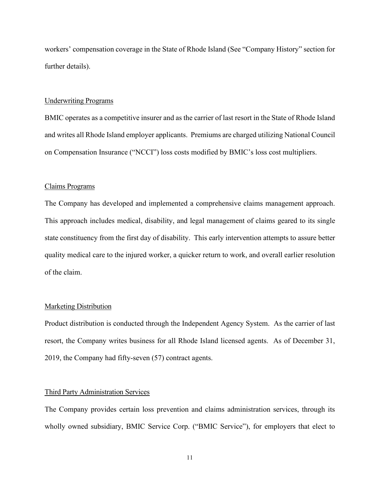workers' compensation coverage in the State of Rhode Island (See "Company History" section for further details).

#### Underwriting Programs

BMIC operates as a competitive insurer and as the carrier of last resort in the State of Rhode Island and writes all Rhode Island employer applicants. Premiums are charged utilizing National Council on Compensation Insurance ("NCCI") loss costs modified by BMIC's loss cost multipliers.

#### Claims Programs

The Company has developed and implemented a comprehensive claims management approach. This approach includes medical, disability, and legal management of claims geared to its single state constituency from the first day of disability. This early intervention attempts to assure better quality medical care to the injured worker, a quicker return to work, and overall earlier resolution of the claim.

# Marketing Distribution

Product distribution is conducted through the Independent Agency System. As the carrier of last resort, the Company writes business for all Rhode Island licensed agents. As of December 31, 2019, the Company had fifty-seven (57) contract agents.

#### Third Party Administration Services

The Company provides certain loss prevention and claims administration services, through its wholly owned subsidiary, BMIC Service Corp. ("BMIC Service"), for employers that elect to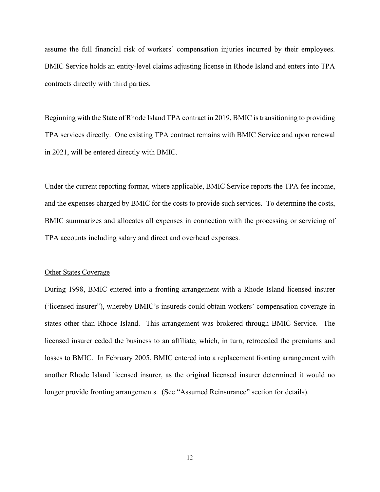assume the full financial risk of workers' compensation injuries incurred by their employees. BMIC Service holds an entity-level claims adjusting license in Rhode Island and enters into TPA contracts directly with third parties.

Beginning with the State of Rhode Island TPA contract in 2019, BMIC is transitioning to providing TPA services directly. One existing TPA contract remains with BMIC Service and upon renewal in 2021, will be entered directly with BMIC.

Under the current reporting format, where applicable, BMIC Service reports the TPA fee income, and the expenses charged by BMIC for the costs to provide such services. To determine the costs, BMIC summarizes and allocates all expenses in connection with the processing or servicing of TPA accounts including salary and direct and overhead expenses.

#### Other States Coverage

During 1998, BMIC entered into a fronting arrangement with a Rhode Island licensed insurer ('licensed insurer"), whereby BMIC's insureds could obtain workers' compensation coverage in states other than Rhode Island. This arrangement was brokered through BMIC Service. The licensed insurer ceded the business to an affiliate, which, in turn, retroceded the premiums and losses to BMIC. In February 2005, BMIC entered into a replacement fronting arrangement with another Rhode Island licensed insurer, as the original licensed insurer determined it would no longer provide fronting arrangements. (See "Assumed Reinsurance" section for details).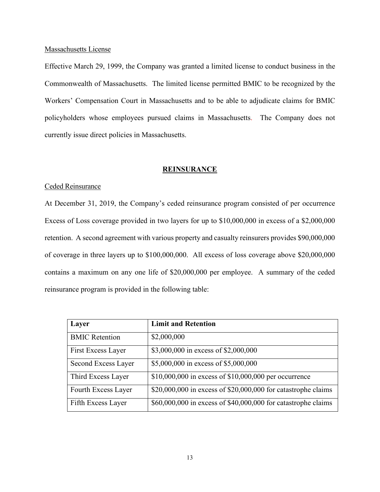## Massachusetts License

Effective March 29, 1999, the Company was granted a limited license to conduct business in the Commonwealth of Massachusetts. The limited license permitted BMIC to be recognized by the Workers' Compensation Court in Massachusetts and to be able to adjudicate claims for BMIC policyholders whose employees pursued claims in Massachusetts. The Company does not currently issue direct policies in Massachusetts.

# **REINSURANCE**

# Ceded Reinsurance

At December 31, 2019, the Company's ceded reinsurance program consisted of per occurrence Excess of Loss coverage provided in two layers for up to \$10,000,000 in excess of a \$2,000,000 retention. A second agreement with various property and casualty reinsurers provides \$90,000,000 of coverage in three layers up to \$100,000,000. All excess of loss coverage above \$20,000,000 contains a maximum on any one life of \$20,000,000 per employee. A summary of the ceded reinsurance program is provided in the following table:

| Layer                 | <b>Limit and Retention</b>                                    |
|-----------------------|---------------------------------------------------------------|
| <b>BMIC Retention</b> | \$2,000,000                                                   |
| First Excess Layer    | \$3,000,000 in excess of \$2,000,000                          |
| Second Excess Layer   | \$5,000,000 in excess of \$5,000,000                          |
| Third Excess Layer    | \$10,000,000 in excess of $$10,000,000$ per occurrence        |
| Fourth Excess Layer   | \$20,000,000 in excess of \$20,000,000 for catastrophe claims |
| Fifth Excess Layer    | \$60,000,000 in excess of \$40,000,000 for catastrophe claims |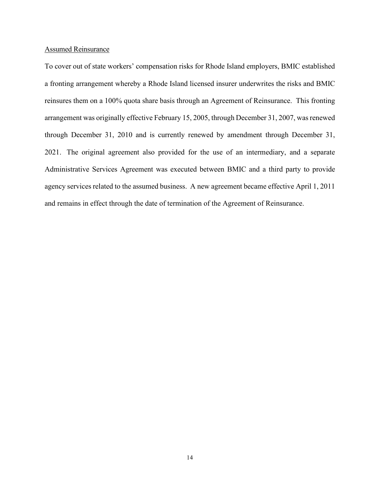## Assumed Reinsurance

To cover out of state workers' compensation risks for Rhode Island employers, BMIC established a fronting arrangement whereby a Rhode Island licensed insurer underwrites the risks and BMIC reinsures them on a 100% quota share basis through an Agreement of Reinsurance. This fronting arrangement was originally effective February 15, 2005, through December 31, 2007, was renewed through December 31, 2010 and is currently renewed by amendment through December 31, 2021. The original agreement also provided for the use of an intermediary, and a separate Administrative Services Agreement was executed between BMIC and a third party to provide agency services related to the assumed business. A new agreement became effective April 1, 2011 and remains in effect through the date of termination of the Agreement of Reinsurance.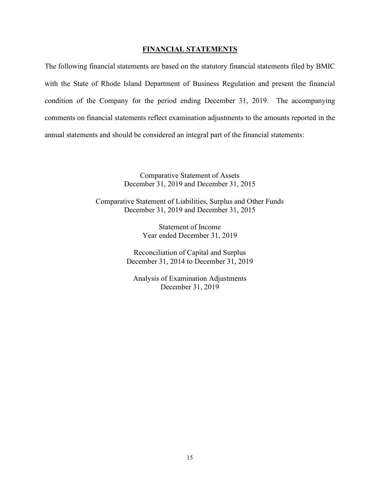## **FINANCIAL STATEMENTS**

The following financial statements are based on the statutory financial statements filed by BMIC with the State of Rhode Island Department of Business Regulation and present the financial condition of the Company for the period ending December 31, 2019. The accompanying comments on financial statements reflect examination adjustments to the amounts reported in the annual statements and should be considered an integral part of the financial statements:

> Comparative Statement of Assets December 31, 2019 and December 31, 2015

Comparative Statement of Liabilities, Surplus and Other Funds December 31, 2019 and December 31, 2015

> Statement of Income Year ended December 31, 2019

Reconciliation of Capital and Surplus December 31, 2014 to December 31, 2019

Analysis of Examination Adjustments December 31, 2019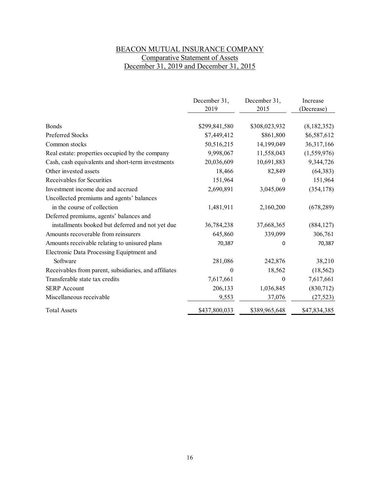# BEACON MUTUAL INSURANCE COMPANY Comparative Statement of Assets December 31, 2019 and December 31, 2015

|                                                       | December 31,<br>2019 | December 31,<br>2015 | Increase     |
|-------------------------------------------------------|----------------------|----------------------|--------------|
|                                                       |                      |                      | (Decrease)   |
| <b>Bonds</b>                                          | \$299,841,580        | \$308,023,932        | (8,182,352)  |
| Preferred Stocks                                      | \$7,449,412          | \$861,800            | \$6,587,612  |
| Common stocks                                         | 50,516,215           | 14,199,049           | 36,317,166   |
| Real estate: properties occupied by the company       | 9,998,067            | 11,558,043           | (1,559,976)  |
| Cash, cash equivalents and short-term investments     | 20,036,609           | 10,691,883           | 9,344,726    |
| Other invested assets                                 | 18,466               | 82,849               | (64, 383)    |
| Receivables for Securities                            | 151,964              | $\theta$             | 151,964      |
| Investment income due and accrued                     | 2,690,891            | 3,045,069            | (354, 178)   |
| Uncollected premiums and agents' balances             |                      |                      |              |
| in the course of collection                           | 1,481,911            | 2,160,200            | (678, 289)   |
| Deferred premiums, agents' balances and               |                      |                      |              |
| installments booked but deferred and not yet due      | 36,784,238           | 37,668,365           | (884, 127)   |
| Amounts recoverable from reinsurers                   | 645,860              | 339,099              | 306,761      |
| Amounts receivable relating to unisured plans         | 70,387               | 0                    | 70,387       |
| Electronic Data Processing Equiptment and             |                      |                      |              |
| Software                                              | 281,086              | 242,876              | 38,210       |
| Receivables from parent, subsidiaries, and affiliates | 0                    | 18,562               | (18, 562)    |
| Transferable state tax credits                        | 7,617,661            | $\boldsymbol{0}$     | 7,617,661    |
| <b>SERP</b> Account                                   | 206,133              | 1,036,845            | (830,712)    |
| Miscellaneous receivable                              | 9,553                | 37,076               | (27, 523)    |
| <b>Total Assets</b>                                   | \$437,800,033        | \$389,965,648        | \$47,834,385 |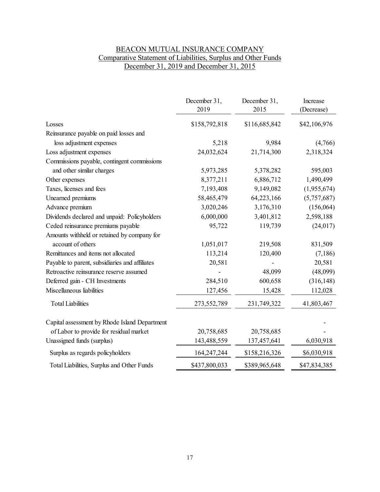# BEACON MUTUAL INSURANCE COMPANY Comparative Statement of Liabilities, Surplus and Other Funds December 31, 2019 and December 31, 2015

|                                                | December 31,<br>2019 | December 31,<br>2015 | Increase<br>(Decrease) |
|------------------------------------------------|----------------------|----------------------|------------------------|
| Losses                                         | \$158,792,818        | \$116,685,842        | \$42,106,976           |
| Reinsurance payable on paid losses and         |                      |                      |                        |
| loss adjustment expenses                       | 5,218                | 9,984                | (4,766)                |
| Loss adjustment expenses                       | 24,032,624           | 21,714,300           | 2,318,324              |
| Commissions payable, contingent commissions    |                      |                      |                        |
| and other similar charges                      | 5,973,285            | 5,378,282            | 595,003                |
| Other expenses                                 | 8,377,211            | 6,886,712            | 1,490,499              |
| Taxes, licenses and fees                       | 7,193,408            | 9,149,082            | (1,955,674)            |
| Unearned premiums                              | 58,465,479           | 64,223,166           | (5,757,687)            |
| Advance premium                                | 3,020,246            | 3,176,310            | (156, 064)             |
| Dividends declared and unpaid: Policyholders   | 6,000,000            | 3,401,812            | 2,598,188              |
| Ceded reinsurance premiums payable             | 95,722               | 119,739              | (24, 017)              |
| Amounts withheld or retained by company for    |                      |                      |                        |
| account of others                              | 1,051,017            | 219,508              | 831,509                |
| Remittances and items not allocated            | 113,214              | 120,400              | (7,186)                |
| Payable to parent, subsidiaries and affiliates | 20,581               |                      | 20,581                 |
| Retroactive reinsurance reserve assumed        |                      | 48,099               | (48,099)               |
| Deferred gain - CH Investments                 | 284,510              | 600,658              | (316, 148)             |
| Miscellaneous liabilities                      | 127,456              | 15,428               | 112,028                |
| <b>Total Liabilities</b>                       | 273,552,789          | 231,749,322          | 41,803,467             |
| Capital assessment by Rhode Island Department  |                      |                      |                        |
| of Labor to provide for residual market        | 20,758,685           | 20,758,685           |                        |
| Unassigned funds (surplus)                     | 143,488,559          | 137,457,641          | 6,030,918              |
| Surplus as regards policyholders               | 164,247,244          | \$158,216,326        | \$6,030,918            |
| Total Liabilities, Surplus and Other Funds     | \$437,800,033        | \$389,965,648        | \$47,834,385           |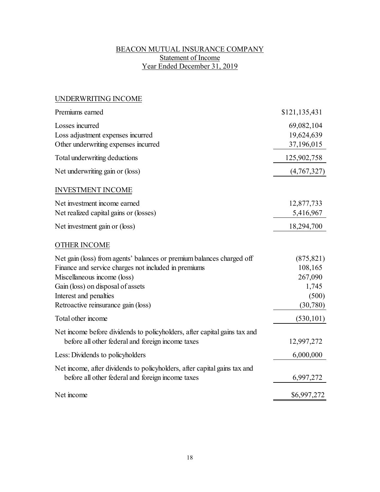# BEACON MUTUAL INSURANCE COMPANY Statement of Income Year Ended December 31, 2019

# UNDERWRITING INCOME

| Premiums earned                                                                                                                                                                                                                                                    | \$121,135,431                                                  |
|--------------------------------------------------------------------------------------------------------------------------------------------------------------------------------------------------------------------------------------------------------------------|----------------------------------------------------------------|
| Losses incurred<br>Loss adjustment expenses incurred<br>Other underwriting expenses incurred                                                                                                                                                                       | 69,082,104<br>19,624,639<br>37,196,015                         |
| Total underwriting deductions                                                                                                                                                                                                                                      | 125,902,758                                                    |
| Net underwriting gain or (loss)                                                                                                                                                                                                                                    | (4,767,327)                                                    |
| <b>INVESTMENT INCOME</b>                                                                                                                                                                                                                                           |                                                                |
| Net investment income earned<br>Net realized capital gains or (losses)                                                                                                                                                                                             | 12,877,733<br>5,416,967                                        |
| Net investment gain or (loss)                                                                                                                                                                                                                                      | 18,294,700                                                     |
| <b>OTHER INCOME</b>                                                                                                                                                                                                                                                |                                                                |
| Net gain (loss) from agents' balances or premium balances charged off<br>Finance and service charges not included in premiums<br>Miscellaneous income (loss)<br>Gain (loss) on disposal of assets<br>Interest and penalties<br>Retroactive reinsurance gain (loss) | (875, 821)<br>108,165<br>267,090<br>1,745<br>(500)<br>(30,780) |
| Total other income                                                                                                                                                                                                                                                 | (530, 101)                                                     |
| Net income before dividends to policyholders, after capital gains tax and<br>before all other federal and foreign income taxes                                                                                                                                     | 12,997,272                                                     |
| Less: Dividends to policyholders                                                                                                                                                                                                                                   | 6,000,000                                                      |
| Net income, after dividends to policyholders, after capital gains tax and<br>before all other federal and foreign income taxes                                                                                                                                     | 6,997,272                                                      |
| Net income                                                                                                                                                                                                                                                         | \$6,997,272                                                    |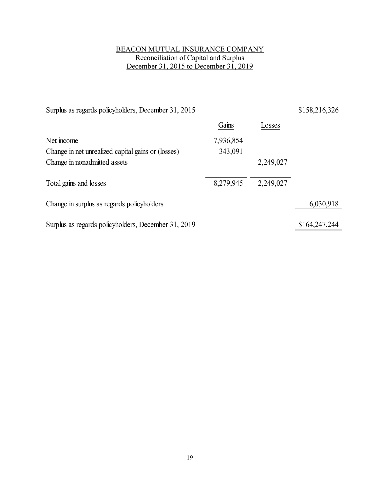# BEACON MUTUAL INSURANCE COMPANY Reconciliation of Capital and Surplus December 31, 2015 to December 31, 2019

| Surplus as regards policyholders, December 31, 2015 |           |           | \$158,216,326 |
|-----------------------------------------------------|-----------|-----------|---------------|
|                                                     | Gains     | Losses    |               |
| Net income                                          | 7,936,854 |           |               |
| Change in net unrealized capital gains or (losses)  | 343,091   |           |               |
| Change in nonadmitted assets                        |           | 2,249,027 |               |
|                                                     |           |           |               |
| Total gains and losses                              | 8,279,945 | 2,249,027 |               |
| Change in surplus as regards policyholders          |           |           | 6,030,918     |
| Surplus as regards policyholders, December 31, 2019 |           |           | \$164,247,244 |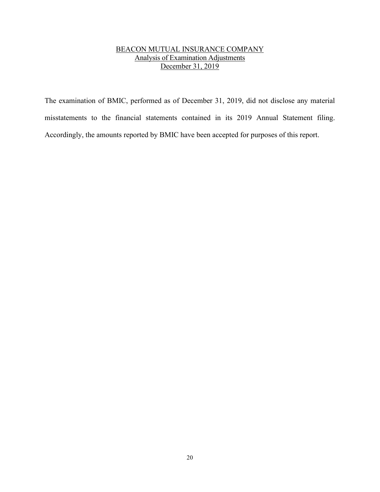# BEACON MUTUAL INSURANCE COMPANY Analysis of Examination Adjustments December 31, 2019

The examination of BMIC, performed as of December 31, 2019, did not disclose any material misstatements to the financial statements contained in its 2019 Annual Statement filing. Accordingly, the amounts reported by BMIC have been accepted for purposes of this report.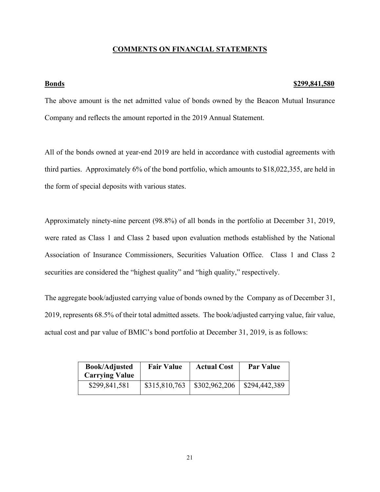# **COMMENTS ON FINANCIAL STATEMENTS**

#### **Bonds \$299,841,580**

The above amount is the net admitted value of bonds owned by the Beacon Mutual Insurance Company and reflects the amount reported in the 2019 Annual Statement.

All of the bonds owned at year-end 2019 are held in accordance with custodial agreements with third parties. Approximately 6% of the bond portfolio, which amounts to \$18,022,355, are held in the form of special deposits with various states.

Approximately ninety-nine percent (98.8%) of all bonds in the portfolio at December 31, 2019, were rated as Class 1 and Class 2 based upon evaluation methods established by the National Association of Insurance Commissioners, Securities Valuation Office. Class 1 and Class 2 securities are considered the "highest quality" and "high quality," respectively.

The aggregate book/adjusted carrying value of bonds owned by the Company as of December 31, 2019, represents 68.5% of their total admitted assets. The book/adjusted carrying value, fair value, actual cost and par value of BMIC's bond portfolio at December 31, 2019, is as follows:

| <b>Book/Adjusted</b><br><b>Carrying Value</b> | <b>Fair Value</b> | <b>Actual Cost</b> | <b>Par Value</b> |
|-----------------------------------------------|-------------------|--------------------|------------------|
| \$299,841,581                                 | \$315,810,763     | \$302,962,206      | \$294,442,389    |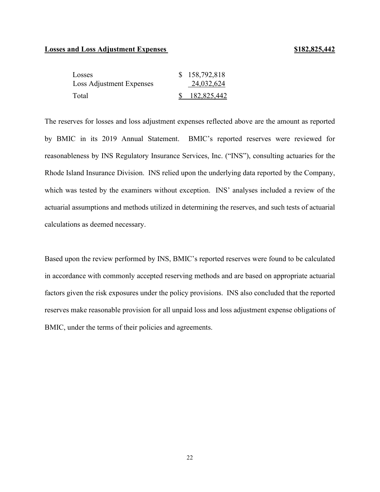# **Losses and Loss Adjustment Expenses** \$182,825,442

| Losses                   | \$158,792,818 |
|--------------------------|---------------|
| Loss Adjustment Expenses | 24,032,624    |
| Total                    | \$182,825,442 |

The reserves for losses and loss adjustment expenses reflected above are the amount as reported by BMIC in its 2019 Annual Statement. BMIC's reported reserves were reviewed for reasonableness by INS Regulatory Insurance Services, Inc. ("INS"), consulting actuaries for the Rhode Island Insurance Division. INS relied upon the underlying data reported by the Company, which was tested by the examiners without exception. INS' analyses included a review of the actuarial assumptions and methods utilized in determining the reserves, and such tests of actuarial calculations as deemed necessary.

Based upon the review performed by INS, BMIC's reported reserves were found to be calculated in accordance with commonly accepted reserving methods and are based on appropriate actuarial factors given the risk exposures under the policy provisions. INS also concluded that the reported reserves make reasonable provision for all unpaid loss and loss adjustment expense obligations of BMIC, under the terms of their policies and agreements.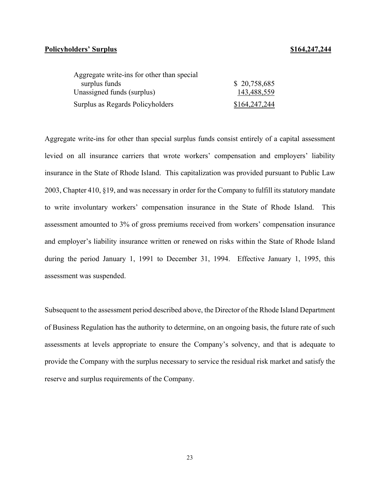# **Policyholders' Surplus Policyholders' Surplus**

| Aggregate write-ins for other than special |               |
|--------------------------------------------|---------------|
| surplus funds                              | \$20,758,685  |
| Unassigned funds (surplus)                 | 143,488,559   |
| Surplus as Regards Policyholders           | \$164,247,244 |

Aggregate write-ins for other than special surplus funds consist entirely of a capital assessment levied on all insurance carriers that wrote workers' compensation and employers' liability insurance in the State of Rhode Island. This capitalization was provided pursuant to Public Law 2003, Chapter 410, §19, and was necessary in order for the Company to fulfill its statutory mandate to write involuntary workers' compensation insurance in the State of Rhode Island. This assessment amounted to 3% of gross premiums received from workers' compensation insurance and employer's liability insurance written or renewed on risks within the State of Rhode Island during the period January 1, 1991 to December 31, 1994. Effective January 1, 1995, this assessment was suspended.

Subsequent to the assessment period described above, the Director of the Rhode Island Department of Business Regulation has the authority to determine, on an ongoing basis, the future rate of such assessments at levels appropriate to ensure the Company's solvency, and that is adequate to provide the Company with the surplus necessary to service the residual risk market and satisfy the reserve and surplus requirements of the Company.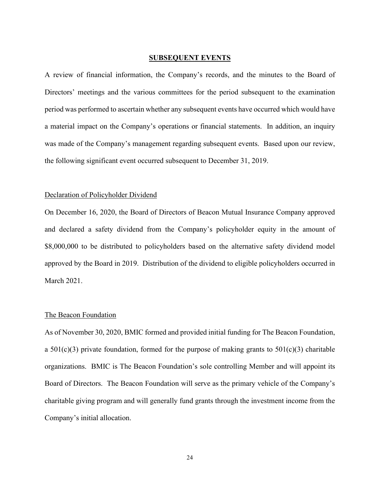### **SUBSEQUENT EVENTS**

A review of financial information, the Company's records, and the minutes to the Board of Directors' meetings and the various committees for the period subsequent to the examination period was performed to ascertain whether any subsequent events have occurred which would have a material impact on the Company's operations or financial statements. In addition, an inquiry was made of the Company's management regarding subsequent events. Based upon our review, the following significant event occurred subsequent to December 31, 2019.

#### Declaration of Policyholder Dividend

On December 16, 2020, the Board of Directors of Beacon Mutual Insurance Company approved and declared a safety dividend from the Company's policyholder equity in the amount of \$8,000,000 to be distributed to policyholders based on the alternative safety dividend model approved by the Board in 2019. Distribution of the dividend to eligible policyholders occurred in March 2021.

## The Beacon Foundation

As of November 30, 2020, BMIC formed and provided initial funding for The Beacon Foundation, a 501(c)(3) private foundation, formed for the purpose of making grants to  $501(c)(3)$  charitable organizations. BMIC is The Beacon Foundation's sole controlling Member and will appoint its Board of Directors. The Beacon Foundation will serve as the primary vehicle of the Company's charitable giving program and will generally fund grants through the investment income from the Company's initial allocation.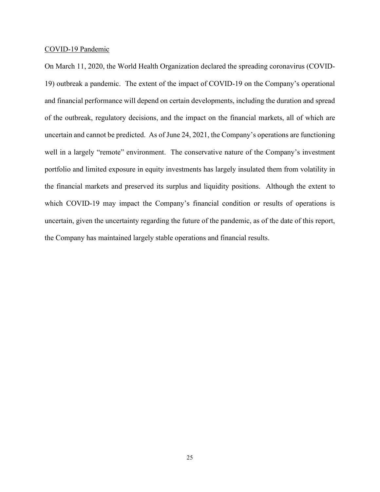### COVID-19 Pandemic

On March 11, 2020, the World Health Organization declared the spreading coronavirus (COVID-19) outbreak a pandemic. The extent of the impact of COVID-19 on the Company's operational and financial performance will depend on certain developments, including the duration and spread of the outbreak, regulatory decisions, and the impact on the financial markets, all of which are uncertain and cannot be predicted. As of June 24, 2021, the Company's operations are functioning well in a largely "remote" environment. The conservative nature of the Company's investment portfolio and limited exposure in equity investments has largely insulated them from volatility in the financial markets and preserved its surplus and liquidity positions. Although the extent to which COVID-19 may impact the Company's financial condition or results of operations is uncertain, given the uncertainty regarding the future of the pandemic, as of the date of this report, the Company has maintained largely stable operations and financial results.